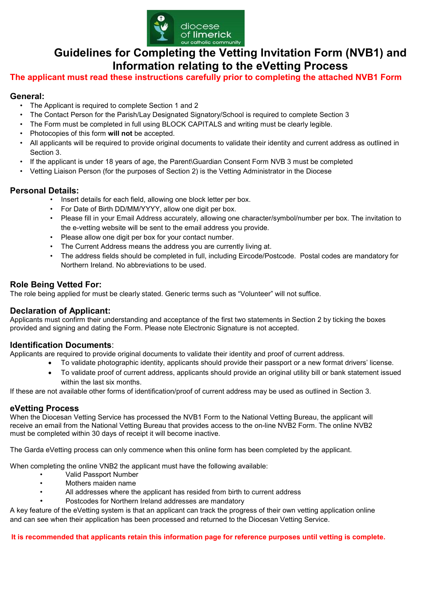

# **Guidelines for Completing the Vetting Invitation Form (NVB1) and Information relating to the eVetting Process**

# **The applicant must read these instructions carefully prior to completing the attached NVB1 Form**

# **General:**

- The Applicant is required to complete Section 1 and 2
- The Contact Person for the Parish/Lay Designated Signatory/School is required to complete Section 3
- The Form must be completed in full using BLOCK CAPITALS and writing must be clearly legible.
- Photocopies of this form **will not** be accepted.
- All applicants will be required to provide original documents to validate their identity and current address as outlined in Section 3.
- If the applicant is under 18 years of age, the Parent\Guardian Consent Form NVB 3 must be completed
- Vetting Liaison Person (for the purposes of Section 2) is the Vetting Administrator in the Diocese

# **Personal Details:**

- Insert details for each field, allowing one block letter per box.
- For Date of Birth DD/MM/YYYY, allow one digit per box.
- Please fill in your Email Address accurately, allowing one character/symbol/number per box. The invitation to the e-vetting website will be sent to the email address you provide.
- Please allow one digit per box for your contact number.
- The Current Address means the address you are currently living at.
- The address fields should be completed in full, including Eircode/Postcode. Postal codes are mandatory for Northern Ireland. No abbreviations to be used.

# **Role Being Vetted For:**

The role being applied for must be clearly stated. Generic terms such as "Volunteer" will not suffice.

### **Declaration of Applicant:**

Applicants must confirm their understanding and acceptance of the first two statements in Section 2 by ticking the boxes provided and signing and dating the Form. Please note Electronic Signature is not accepted.

### **Identification Documents**:

Applicants are required to provide original documents to validate their identity and proof of current address.

- To validate photographic identity, applicants should provide their passport or a new format drivers' license.
- To validate proof of current address, applicants should provide an original utility bill or bank statement issued within the last six months.

If these are not available other forms of identification/proof of current address may be used as outlined in Section 3.

### **eVetting Process**

When the Diocesan Vetting Service has processed the NVB1 Form to the National Vetting Bureau, the applicant will receive an email from the National Vetting Bureau that provides access to the on-line NVB2 Form. The online NVB2 must be completed within 30 days of receipt it will become inactive.

The Garda eVetting process can only commence when this online form has been completed by the applicant.

When completing the online VNB2 the applicant must have the following available:

- Valid Passport Number
- Mothers maiden name
- All addresses where the applicant has resided from birth to current address
- Postcodes for Northern Ireland addresses are mandatory

A key feature of the eVetting system is that an applicant can track the progress of their own vetting application online and can see when their application has been processed and returned to the Diocesan Vetting Service.

**It is recommended that applicants retain this information page for reference purposes until vetting is complete.**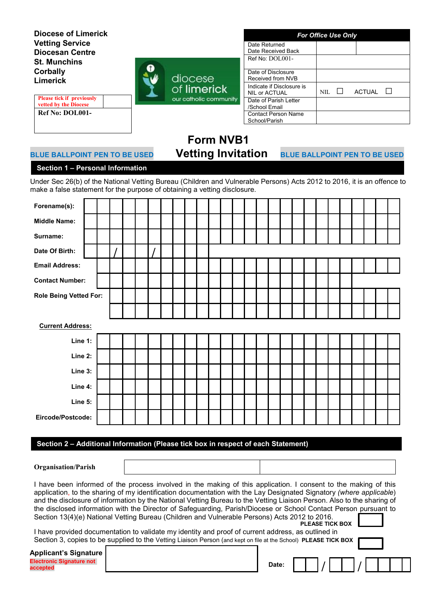**Diocese of Limerick Vetting Service Diocesan Centre St. Munchins Corbally Limerick**

**Please tick if previously vetted by the Diocese Ref No: DOL001-**



| <b>For Office Use Only</b>                 |      |         |               |  |
|--------------------------------------------|------|---------|---------------|--|
| Date Returned                              |      |         |               |  |
| Date Received Back                         |      |         |               |  |
| Ref No: DOL001-                            |      |         |               |  |
| Date of Disclosure                         |      |         |               |  |
| Received from NVB                          |      |         |               |  |
| Indicate if Disclosure is<br>NIL or ACTUAL | NIL. | $\perp$ | <b>ACTUAL</b> |  |
| Date of Parish Letter                      |      |         |               |  |
| /School Email                              |      |         |               |  |
| <b>Contact Person Name</b>                 |      |         |               |  |
| School/Parish                              |      |         |               |  |

# **Form NVB1**

# **BLUE BALLPOINT PEN TO BE USED Vetting Invitation BLUE BALLPOINT PEN TO BE USED**

1

# **Section 1 – Personal Information**

Under Sec 26(b) of the National Vetting Bureau (Children and Vulnerable Persons) Acts 2012 to 2016, it is an offence to make a false statement for the purpose of obtaining a vetting disclosure.

| Forename(s):                  |  |  |  |  |  |  |  |  |  |  |  |  |  |
|-------------------------------|--|--|--|--|--|--|--|--|--|--|--|--|--|
| <b>Middle Name:</b>           |  |  |  |  |  |  |  |  |  |  |  |  |  |
| Surname:                      |  |  |  |  |  |  |  |  |  |  |  |  |  |
| Date Of Birth:                |  |  |  |  |  |  |  |  |  |  |  |  |  |
| <b>Email Address:</b>         |  |  |  |  |  |  |  |  |  |  |  |  |  |
| <b>Contact Number:</b>        |  |  |  |  |  |  |  |  |  |  |  |  |  |
| <b>Role Being Vetted For:</b> |  |  |  |  |  |  |  |  |  |  |  |  |  |
|                               |  |  |  |  |  |  |  |  |  |  |  |  |  |
| <b>Current Address:</b>       |  |  |  |  |  |  |  |  |  |  |  |  |  |
|                               |  |  |  |  |  |  |  |  |  |  |  |  |  |
| Line 1:                       |  |  |  |  |  |  |  |  |  |  |  |  |  |
| Line 2:                       |  |  |  |  |  |  |  |  |  |  |  |  |  |
| Line 3:                       |  |  |  |  |  |  |  |  |  |  |  |  |  |
| Line 4:                       |  |  |  |  |  |  |  |  |  |  |  |  |  |
| Line 5:                       |  |  |  |  |  |  |  |  |  |  |  |  |  |
| Eircode/Postcode:             |  |  |  |  |  |  |  |  |  |  |  |  |  |

### **Section 2 – Additional Information (Please tick box in respect of each Statement)**

### **Organisation/Parish**

| I have been informed of the process involved in the making of this application. I consent to the making of this        |
|------------------------------------------------------------------------------------------------------------------------|
| application, to the sharing of my identification documentation with the Lay Designated Signatory (where applicable)    |
| and the disclosure of information by the National Vetting Bureau to the Vetting Liaison Person. Also to the sharing of |
| the disclosed information with the Director of Safeguarding, Parish/Diocese or School Contact Person pursuant to       |
| Section 13(4)(e) National Vetting Bureau (Children and Vulnerable Persons) Acts 2012 to 2016.                          |
| PLEASE TICK BOX LASTER                                                                                                 |
| il bayya musuldad daayyaantatiga ta yalidata yoy idantity and musaf of ayyungt addugae, aa aytilingaliya               |

I have provided documentation to validate my identity and proof of current address, as outlined in Section 3, copies to be supplied to the Vetting Liaison Person (and kept on file at the School) PLEASE TICK BOX

| <b>Applicant's Signature</b>                |       |  |  |  |  |  |
|---------------------------------------------|-------|--|--|--|--|--|
| <b>Electronic Signature not</b><br>accepted | Date: |  |  |  |  |  |